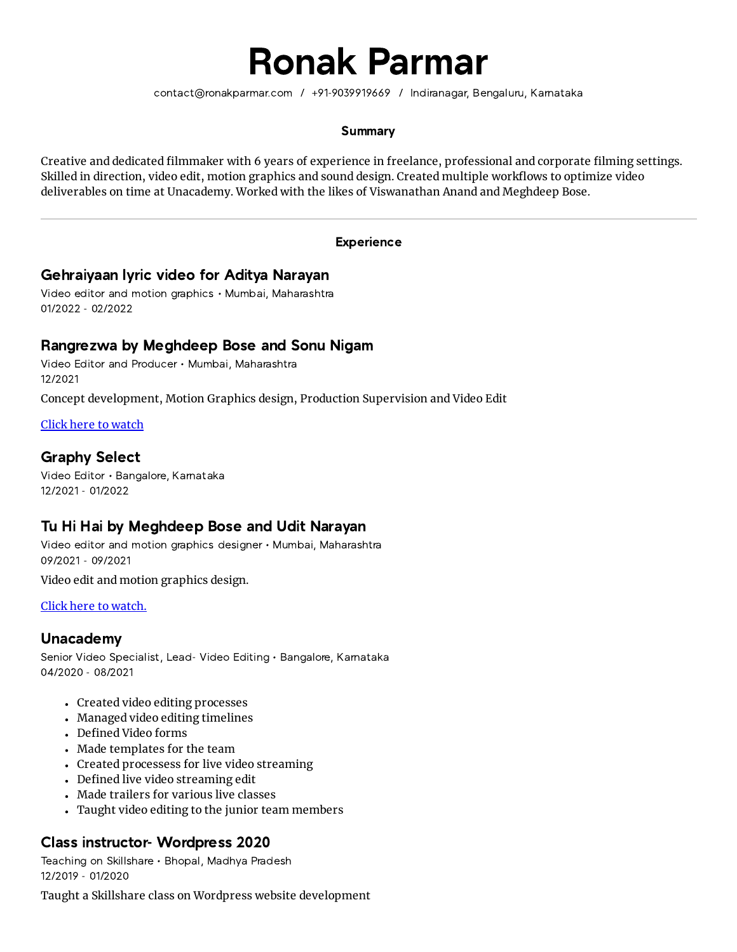# Ronak Parmar

contact@ronakparmar.com / +91-9039919669 / Indiranagar, Bengaluru, Karnataka

### **Summary**

Creative and dedicated filmmaker with 6 years of experience in freelance, professional and corporate filming settings. Skilled in direction, video edit, motion graphics and sound design. Created multiple workflows to optimize video deliverables on time at Unacademy. Worked with the likes of Viswanathan Anand and Meghdeep Bose.

#### **Experience**

# Gehraiyaan lyric video for Aditya Narayan

Video editor and motion graphics • Mumbai, Maharashtra 01/2022 - 02/2022

# Rangrezwa by Meghdeep Bose and Sonu Nigam

Video Editor and Producer • Mumbai, Maharashtra 12/2021

Concept development, Motion Graphics design, Production Supervision and Video Edit

Click here to [watch](https://www.youtube.com/watch?v=kh0GFYEJzSc)

# Graphy Select

Video Editor • Bangalore, Karnataka 12/2021 - 01/2022

# Tu Hi Hai by Meghdeep Bose and Udit Narayan

Video editor and motion graphics designer • Mumbai, Maharashtra 09/2021 - 09/2021

Video edit and motion graphics design.

#### Click here to [watch.](https://www.youtube.com/watch?v=0muRVCNI0QU)

# Unacademy

Senior Video Specialist, Lead- Video Editing • Bangalore, Karnataka 04/2020 - 08/2021

- Created video editing processes
- Managed video editing timelines
- Defined Video forms
- Made templates for the team
- Created processess for live video streaming
- Defined live video streaming edit
- Made trailers for various live classes
- Taught video editing to the junior team members

# Class instructor- Wordpress 2020

Teaching on Skillshare • Bhopal, Madhya Pradesh 12/2019 - 01/2020

Taught a Skillshare class on Wordpress website development